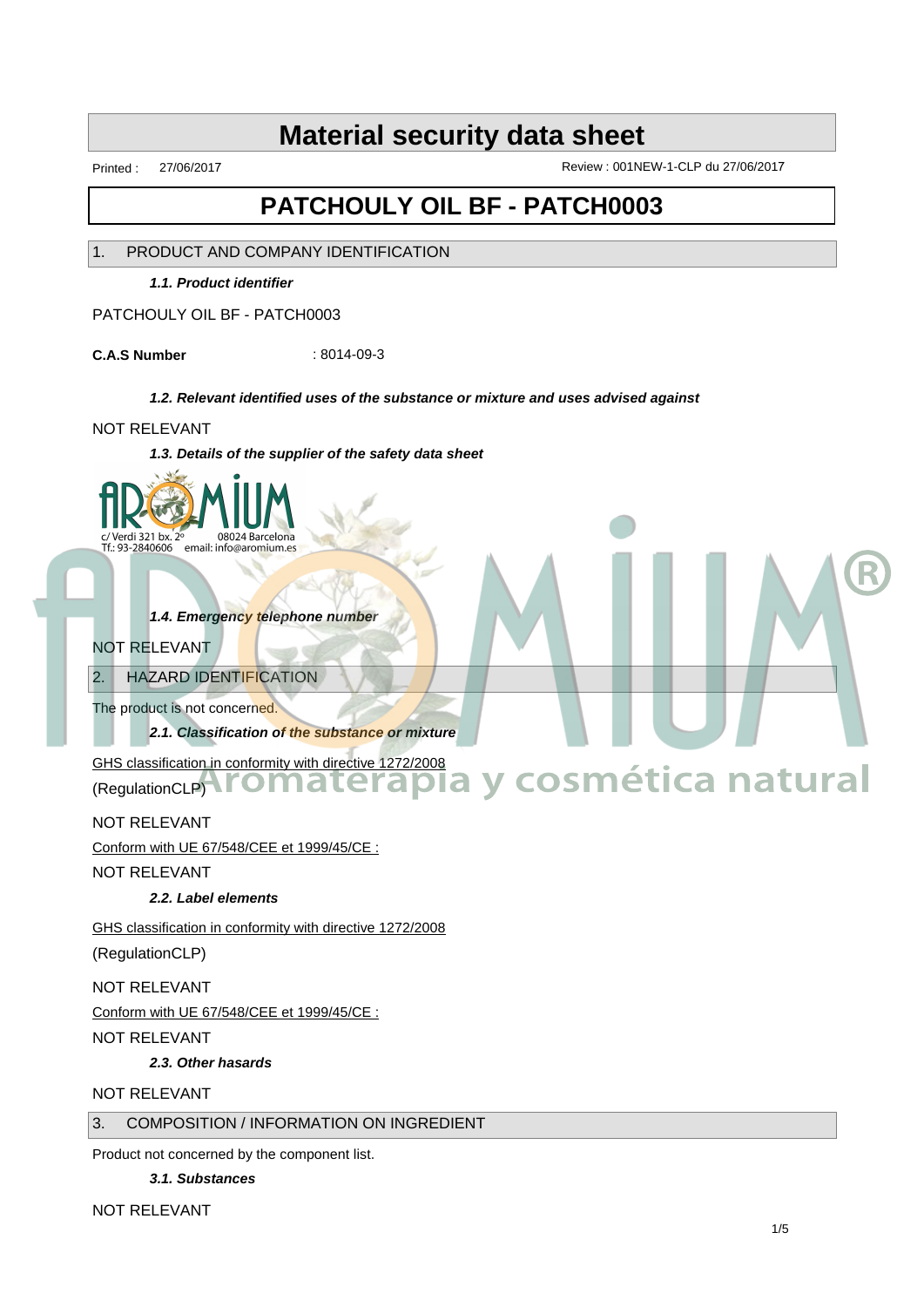Printed : 27/06/2017 Review : 001NEW-1-CLP du 27/06/2017

**Aromaterapia y cosmética natural**

## **PATCHOULY OIL BF - PATCH0003**

1. PRODUCT AND COMPANY IDENTIFICATION

**1.1. Product identifier**

PATCHOULY OIL BF - PATCH0003

**C.A.S Number** : 8014-09-3

#### **1.2. Relevant identified uses of the substance or mixture and uses advised against**

#### NOT RELEVANT

**1.3. Details of the supplier of the safety data sheet**



**1.4. Emergency telephone number**

#### NOT RELEVANT

2. HAZARD IDENTIFICATION

The product is not concerned.

**2.1. Classification of the substance or mixture**

GHS classification in conformity with directive 1272/2008 (RegulationCLP) **TOMaterapia** 

NOT RELEVANT

Conform with UE 67/548/CEE et 1999/45/CE :

NOT RELEVANT

**2.2. Label elements**

GHS classification in conformity with directive 1272/2008

(RegulationCLP)

NOT RELEVANT

Conform with UE 67/548/CEE et 1999/45/CE :

NOT RELEVANT

**2.3. Other hasards**

#### NOT RELEVANT

#### 3. COMPOSITION / INFORMATION ON INGREDIENT

Product not concerned by the component list.

**3.1. Substances**

NOT RELEVANT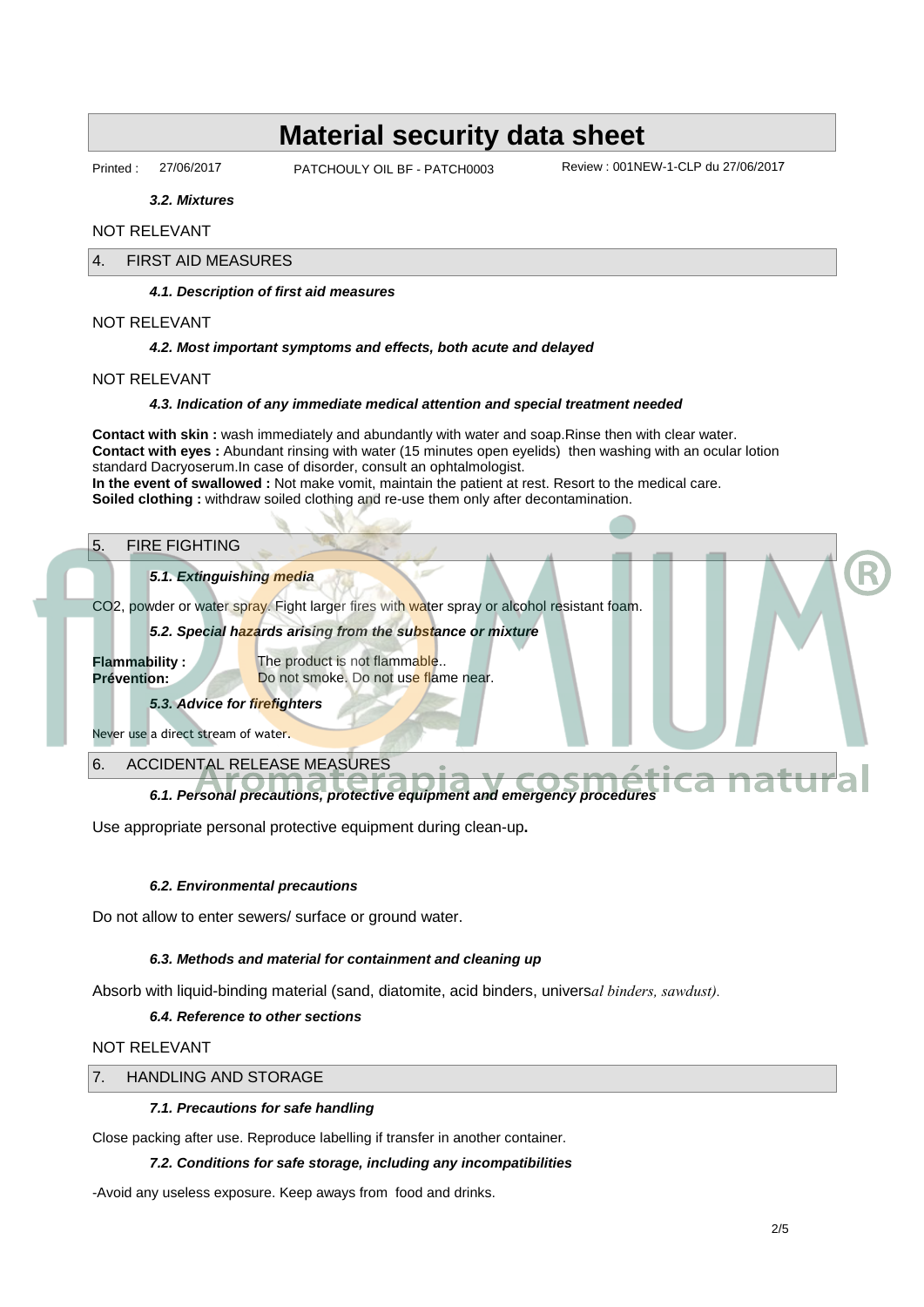Printed : 27/06/2017 • PATCHOULY OIL BF - PATCH0003 Review : 001NEW-1-CLP du 27/06/2017

**3.2. Mixtures**

#### NOT RELEVANT

#### 4. FIRST AID MEASURES

**4.1. Description of first aid measures**

NOT RELEVANT

#### **4.2. Most important symptoms and effects, both acute and delayed**

NOT RELEVANT

#### **4.3. Indication of any immediate medical attention and special treatment needed**

**Contact with skin :** wash immediately and abundantly with water and soap.Rinse then with clear water. **Contact with eyes :** Abundant rinsing with water (15 minutes open eyelids) then washing with an ocular lotion standard Dacryoserum.In case of disorder, consult an ophtalmologist. **In the event of swallowed :** Not make vomit, maintain the patient at rest. Resort to the medical care. **Soiled clothing :** withdraw soiled clothing and re-use them only after decontamination.

#### 5. FIRE FIGHTING

#### **5.1. Extinguishing media**

CO2, powder or water spray. Fight larger fires with water spray or alcohol resistant foam.

#### **5.2. Special hazards arising from the substance or mixture**

**Flammability :** The product is not flammable.. **Prévention:** Do not smoke. Do not use flame near.

## **5.3. Advice for firefighters**

Never use a direct stream of water.

#### 6. ACCIDENTAL RELEASE MEASURES

# **6.1. Personal precautions, protective equipment and emergency procedures**<br> **Aromaterial Securitions** of the equipment and emergency procedures<br> **Aromaters**

Use appropriate personal protective equipment during clean-up**.**

#### **6.2. Environmental precautions**

Do not allow to enter sewers/ surface or ground water.

#### **6.3. Methods and material for containment and cleaning up**

Absorb with liquid-binding material (sand, diatomite, acid binders, univers*al binders, sawdust).*

#### **6.4. Reference to other sections**

NOT RELEVANT

#### 7. HANDLING AND STORAGE

#### **7.1. Precautions for safe handling**

Close packing after use. Reproduce labelling if transfer in another container.

#### **7.2. Conditions for safe storage, including any incompatibilities**

-Avoid any useless exposure. Keep aways from food and drinks.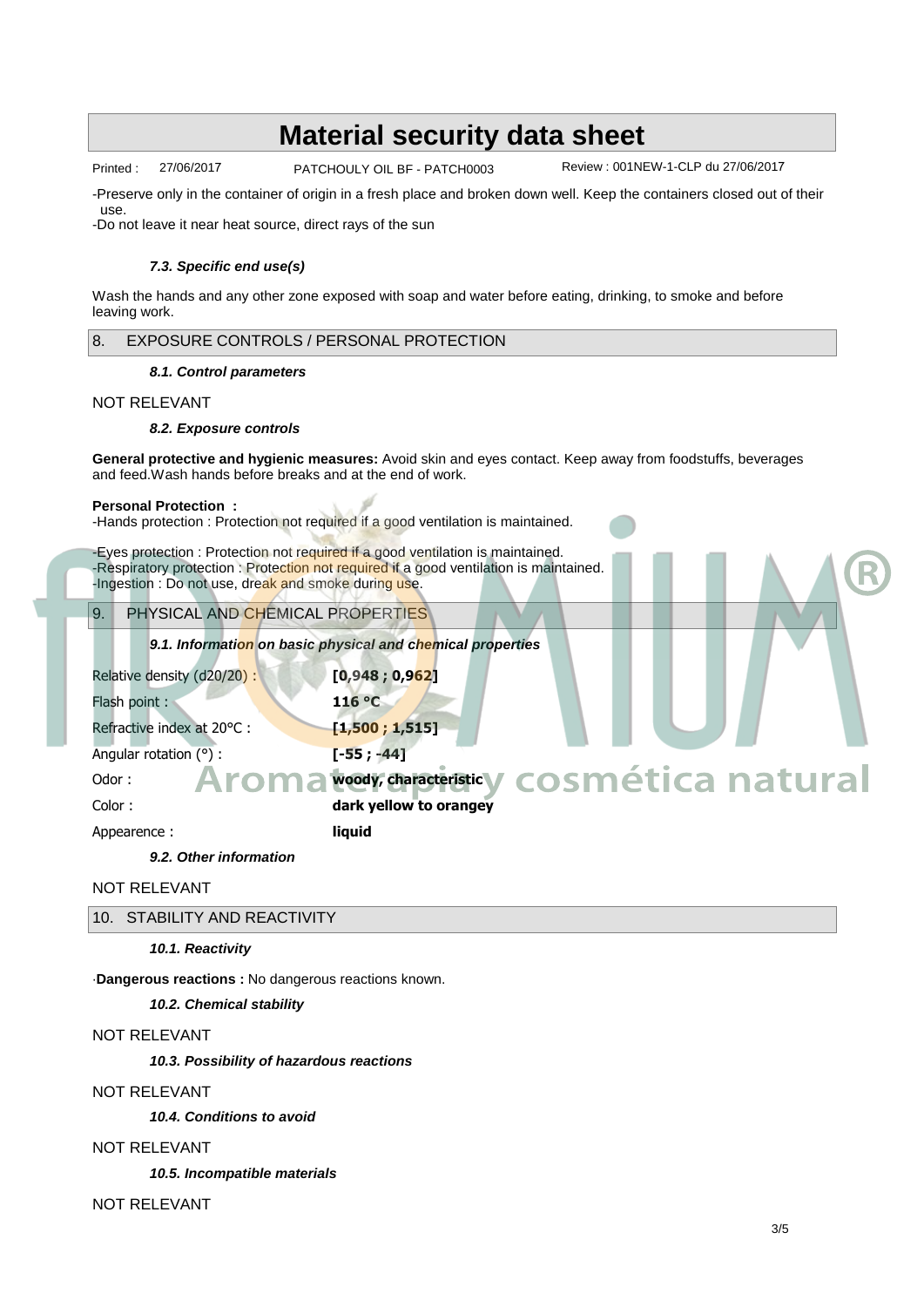Printed : 27/06/2017 • PATCHOULY OIL BF - PATCH0003 Review : 001NEW-1-CLP du 27/06/2017

-Preserve only in the container of origin in a fresh place and broken down well. Keep the containers closed out of their use.

-Do not leave it near heat source, direct rays of the sun

#### **7.3. Specific end use(s)**

Wash the hands and any other zone exposed with soap and water before eating, drinking, to smoke and before leaving work.

#### 8. EXPOSURE CONTROLS / PERSONAL PROTECTION

#### **8.1. Control parameters**

#### NOT RELEVANT

#### **8.2. Exposure controls**

**General protective and hygienic measures:** Avoid skin and eyes contact. Keep away from foodstuffs, beverages and feed.Wash hands before breaks and at the end of work.

#### **Personal Protection :**

-Hands protection : Protection not required if a good ventilation is maintained.

-Eyes protection : Protection not required if a good ventilation is maintained. -Respiratory protection : Protection not required if a good ventilation is maintained. -Ingestion : Do not use, dreak and smoke during use.

9. PHYSICAL AND CHEMICAL PROPERTIES

**9.1. Information on basic physical and chemical properties**

| Relative density (d20/20) : | [0,948; 0,962]                                |
|-----------------------------|-----------------------------------------------|
| Flash point:                | 116 C                                         |
| Refractive index at 20 C :  | [1,500; 1,515]                                |
| Angular rotation ():        | $[-55; -44]$                                  |
| Odor:                       | Aroma voor characteristic v cosmética natural |
| Color:                      | dark yellow to orangey                        |
| Appearence:                 | liquid                                        |

#### **9.2. Other information**

NOT RELEVANT

| 10. STABILITY AND REACTIVITY |
|------------------------------|
|------------------------------|

**10.1. Reactivity**

·**Dangerous reactions :** No dangerous reactions known.

**10.2. Chemical stability**

#### NOT RELEVANT

**10.3. Possibility of hazardous reactions**

#### NOT RELEVANT

**10.4. Conditions to avoid**

#### NOT RELEVANT

**10.5. Incompatible materials**

NOT RELEVANT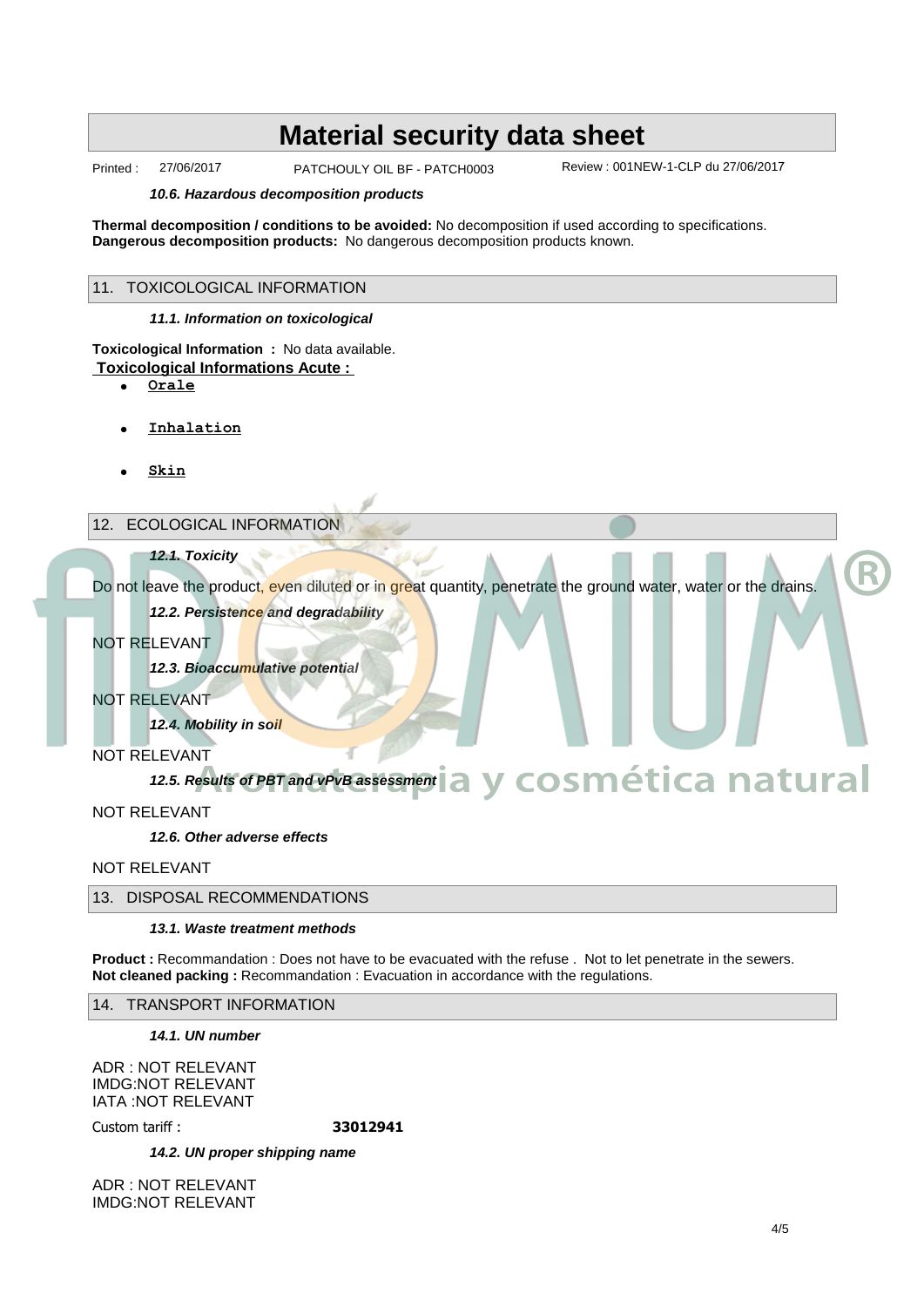Printed : 27/06/2017 • PATCHOULY OIL BF - PATCH0003 Review : 001NEW-1-CLP du 27/06/2017

#### **10.6. Hazardous decomposition products**

**Thermal decomposition / conditions to be avoided:** No decomposition if used according to specifications. **Dangerous decomposition products:** No dangerous decomposition products known.

#### 11. TOXICOLOGICAL INFORMATION

#### **11.1. Information on toxicological**

**Toxicological Information :** No data available.  **Toxicological Informations Acute :** 

- · **Orale**
- · **Inhalation**
- · **Skin**

#### 12. ECOLOGICAL INFORMATION

#### **12.1. Toxicity**

Do not leave the product, even diluted or in great quantity, penetrate the ground water, water or the drains. **12.2. Persistence and degradability**

### NOT RELEVANT

**12.3. Bioaccumulative potential**

NOT RELEVANT

**12.4. Mobility in soil**

#### NOT RELEVANT

#### **12.5. Results of PBT and vPvB assessment Aromaterapia y cosmética natural**

NOT RELEVANT

**12.6. Other adverse effects**

NOT RELEVANT

#### 13. DISPOSAL RECOMMENDATIONS

#### **13.1. Waste treatment methods**

**Product :** Recommandation : Does not have to be evacuated with the refuse . Not to let penetrate in the sewers. **Not cleaned packing : Recommandation : Evacuation in accordance with the regulations.** 

#### 14. TRANSPORT INFORMATION

**14.1. UN number**

ADR : NOT RELEVANT IMDG:NOT RELEVANT IATA :NOT RELEVANT

Custom tariff : **33012941**

**14.2. UN proper shipping name**

ADR : NOT RELEVANT IMDG:NOT RELEVANT